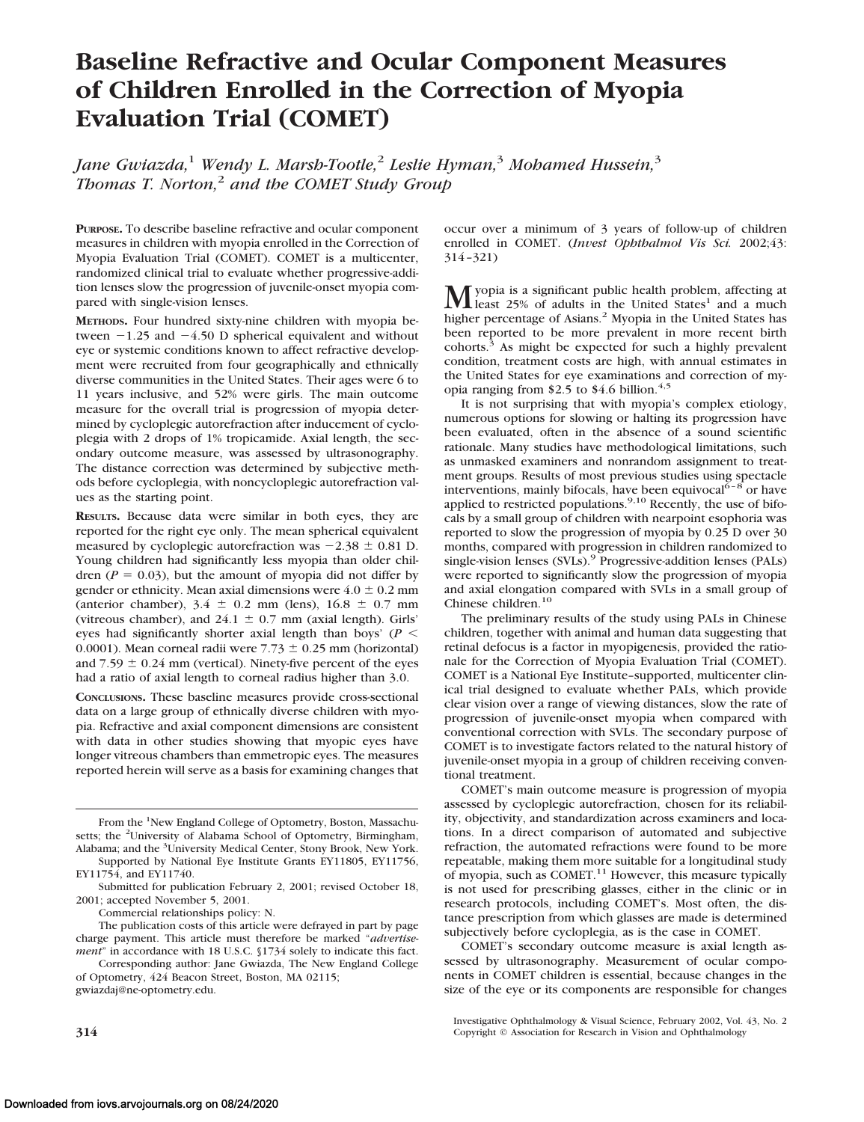# **Baseline Refractive and Ocular Component Measures of Children Enrolled in the Correction of Myopia Evaluation Trial (COMET)**

*Jane Gwiazda,*<sup>1</sup> *Wendy L. Marsh-Tootle,*<sup>2</sup> *Leslie Hyman,*<sup>3</sup> *Mohamed Hussein,*<sup>3</sup> *Thomas T. Norton,*<sup>2</sup> *and the COMET Study Group*

**PURPOSE.** To describe baseline refractive and ocular component measures in children with myopia enrolled in the Correction of Myopia Evaluation Trial (COMET). COMET is a multicenter, randomized clinical trial to evaluate whether progressive-addition lenses slow the progression of juvenile-onset myopia compared with single-vision lenses.

**METHODS.** Four hundred sixty-nine children with myopia between  $-1.25$  and  $-4.50$  D spherical equivalent and without eye or systemic conditions known to affect refractive development were recruited from four geographically and ethnically diverse communities in the United States. Their ages were 6 to 11 years inclusive, and 52% were girls. The main outcome measure for the overall trial is progression of myopia determined by cycloplegic autorefraction after inducement of cycloplegia with 2 drops of 1% tropicamide. Axial length, the secondary outcome measure, was assessed by ultrasonography. The distance correction was determined by subjective methods before cycloplegia, with noncycloplegic autorefraction values as the starting point.

**RESULTS.** Because data were similar in both eyes, they are reported for the right eye only. The mean spherical equivalent measured by cycloplegic autorefraction was  $-2.38 \pm 0.81$  D. Young children had significantly less myopia than older children ( $P = 0.03$ ), but the amount of myopia did not differ by gender or ethnicity. Mean axial dimensions were  $4.0 \pm 0.2$  mm (anterior chamber),  $3.4 \pm 0.2$  mm (lens),  $16.8 \pm 0.7$  mm (vitreous chamber), and  $24.1 \pm 0.7$  mm (axial length). Girls' eyes had significantly shorter axial length than boys' (*P* 0.0001). Mean corneal radii were  $7.73 \pm 0.25$  mm (horizontal) and  $7.59 \pm 0.24$  mm (vertical). Ninety-five percent of the eyes had a ratio of axial length to corneal radius higher than 3.0.

**CONCLUSIONS.** These baseline measures provide cross-sectional data on a large group of ethnically diverse children with myopia. Refractive and axial component dimensions are consistent with data in other studies showing that myopic eyes have longer vitreous chambers than emmetropic eyes. The measures reported herein will serve as a basis for examining changes that

From the <sup>1</sup>New England College of Optometry, Boston, Massachusetts; the <sup>2</sup>University of Alabama School of Optometry, Birmingham, Alabama; and the <sup>3</sup>University Medical Center, Stony Brook, New York. Supported by National Eye Institute Grants EY11805, EY11756,

EY11754, and EY11740.

Commercial relationships policy: N.

Corresponding author: Jane Gwiazda, The New England College of Optometry, 424 Beacon Street, Boston, MA 02115; gwiazdaj@ne-optometry.edu.

occur over a minimum of 3 years of follow-up of children enrolled in COMET. (*Invest Ophthalmol Vis Sci.* 2002;43: 314–321)

**M** yopia is a significant public health problem, affecting at least 25% of adults in the United States<sup>1</sup> and a much higher percentage of Asians.<sup>2</sup> Myopia in the United States has been reported to be more prevalent in more recent birth cohorts.3 As might be expected for such a highly prevalent condition, treatment costs are high, with annual estimates in the United States for eye examinations and correction of myopia ranging from \$2.5 to \$4.6 billion. $4.5$ 

It is not surprising that with myopia's complex etiology, numerous options for slowing or halting its progression have been evaluated, often in the absence of a sound scientific rationale. Many studies have methodological limitations, such as unmasked examiners and nonrandom assignment to treatment groups. Results of most previous studies using spectacle interventions, mainly bifocals, have been equivocal  $\overline{6-8}$  or have applied to restricted populations.<sup>9,10</sup> Recently, the use of bifocals by a small group of children with nearpoint esophoria was reported to slow the progression of myopia by 0.25 D over 30 months, compared with progression in children randomized to single-vision lenses (SVLs).<sup>9</sup> Progressive-addition lenses (PALs) were reported to significantly slow the progression of myopia and axial elongation compared with SVLs in a small group of Chinese children.<sup>10</sup>

The preliminary results of the study using PALs in Chinese children, together with animal and human data suggesting that retinal defocus is a factor in myopigenesis, provided the rationale for the Correction of Myopia Evaluation Trial (COMET). COMET is a National Eye Institute–supported, multicenter clinical trial designed to evaluate whether PALs, which provide clear vision over a range of viewing distances, slow the rate of progression of juvenile-onset myopia when compared with conventional correction with SVLs. The secondary purpose of COMET is to investigate factors related to the natural history of juvenile-onset myopia in a group of children receiving conventional treatment.

COMET's main outcome measure is progression of myopia assessed by cycloplegic autorefraction, chosen for its reliability, objectivity, and standardization across examiners and locations. In a direct comparison of automated and subjective refraction, the automated refractions were found to be more repeatable, making them more suitable for a longitudinal study of myopia, such as COMET.<sup>11</sup> However, this measure typically is not used for prescribing glasses, either in the clinic or in research protocols, including COMET's. Most often, the distance prescription from which glasses are made is determined subjectively before cycloplegia, as is the case in COMET.

COMET's secondary outcome measure is axial length assessed by ultrasonography. Measurement of ocular components in COMET children is essential, because changes in the size of the eye or its components are responsible for changes

Submitted for publication February 2, 2001; revised October 18, 2001; accepted November 5, 2001.

The publication costs of this article were defrayed in part by page charge payment. This article must therefore be marked "*advertisement*" in accordance with 18 U.S.C. §1734 solely to indicate this fact.

Investigative Ophthalmology & Visual Science, February 2002, Vol. 43, No. 2 **314** Copyright © Association for Research in Vision and Ophthalmology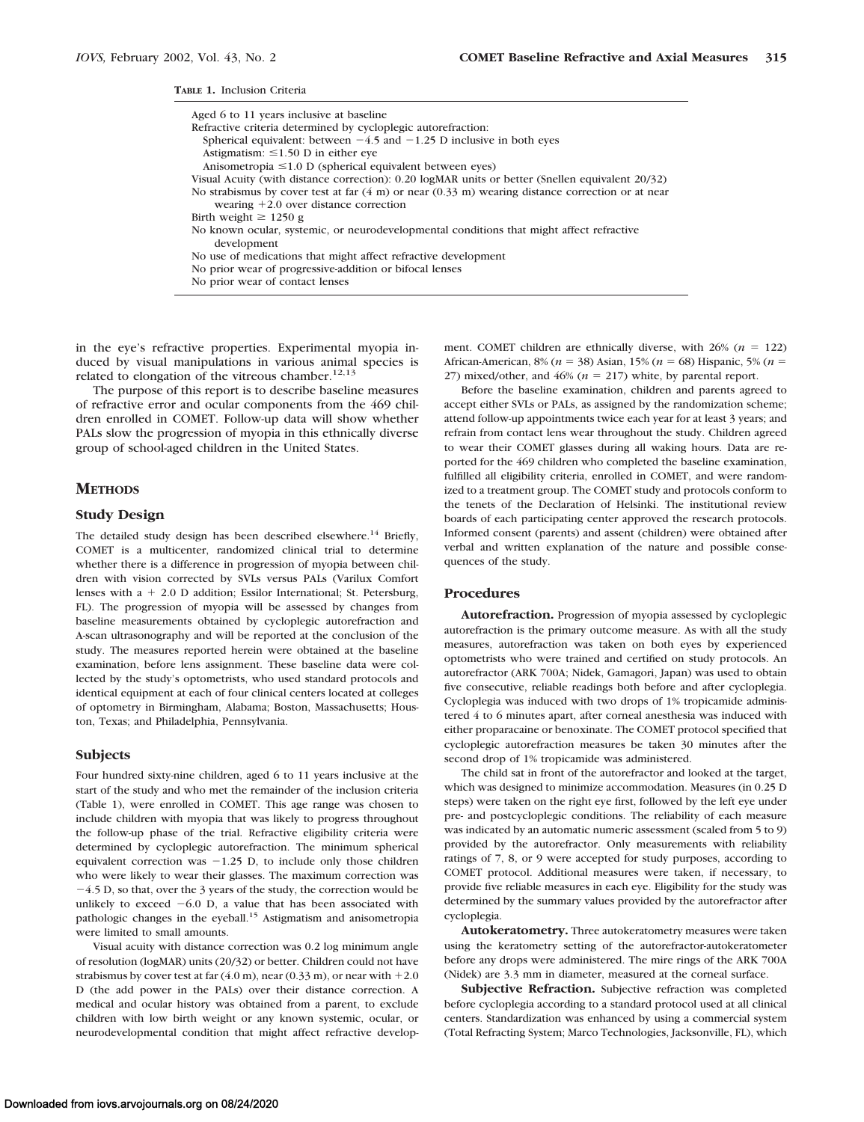**TABLE 1.** Inclusion Criteria

| Aged 6 to 11 years inclusive at baseline<br>Refractive criteria determined by cycloplegic autorefraction:            |
|----------------------------------------------------------------------------------------------------------------------|
| Spherical equivalent: between $-4.5$ and $-1.25$ D inclusive in both eyes                                            |
| Astigmatism: $\leq 1.50$ D in either eve                                                                             |
| Anisometropia $\leq 1.0$ D (spherical equivalent between eyes)                                                       |
| Visual Acuity (with distance correction): 0.20 logMAR units or better (Snellen equivalent 20/32)                     |
| No strabismus by cover test at far $(4 \text{ m})$ or near $(0.33 \text{ m})$ wearing distance correction or at near |
| wearing $+2.0$ over distance correction                                                                              |
| Birth weight $\geq 1250$ g                                                                                           |
| No known ocular, systemic, or neurodevelopmental conditions that might affect refractive<br>development              |
| No use of medications that might affect refractive development                                                       |
| No prior wear of progressive-addition or bifocal lenses                                                              |
| No prior wear of contact lenses                                                                                      |

in the eye's refractive properties. Experimental myopia induced by visual manipulations in various animal species is related to elongation of the vitreous chamber.<sup>12,13</sup>

The purpose of this report is to describe baseline measures of refractive error and ocular components from the 469 children enrolled in COMET. Follow-up data will show whether PALs slow the progression of myopia in this ethnically diverse group of school-aged children in the United States.

#### **METHODS**

### **Study Design**

The detailed study design has been described elsewhere.<sup>14</sup> Briefly, COMET is a multicenter, randomized clinical trial to determine whether there is a difference in progression of myopia between children with vision corrected by SVLs versus PALs (Varilux Comfort lenses with  $a + 2.0$  D addition; Essilor International; St. Petersburg, FL). The progression of myopia will be assessed by changes from baseline measurements obtained by cycloplegic autorefraction and A-scan ultrasonography and will be reported at the conclusion of the study. The measures reported herein were obtained at the baseline examination, before lens assignment. These baseline data were collected by the study's optometrists, who used standard protocols and identical equipment at each of four clinical centers located at colleges of optometry in Birmingham, Alabama; Boston, Massachusetts; Houston, Texas; and Philadelphia, Pennsylvania.

#### **Subjects**

Four hundred sixty-nine children, aged 6 to 11 years inclusive at the start of the study and who met the remainder of the inclusion criteria (Table 1), were enrolled in COMET. This age range was chosen to include children with myopia that was likely to progress throughout the follow-up phase of the trial. Refractive eligibility criteria were determined by cycloplegic autorefraction. The minimum spherical equivalent correction was  $-1.25$  D, to include only those children who were likely to wear their glasses. The maximum correction was  $-4.5$  D, so that, over the 3 years of the study, the correction would be unlikely to exceed  $-6.0$  D, a value that has been associated with pathologic changes in the eyeball.15 Astigmatism and anisometropia were limited to small amounts.

Visual acuity with distance correction was 0.2 log minimum angle of resolution (logMAR) units (20/32) or better. Children could not have strabismus by cover test at far  $(4.0 \text{ m})$ , near  $(0.33 \text{ m})$ , or near with  $+2.0$ D (the add power in the PALs) over their distance correction. A medical and ocular history was obtained from a parent, to exclude children with low birth weight or any known systemic, ocular, or neurodevelopmental condition that might affect refractive development. COMET children are ethnically diverse, with  $26\%$  ( $n = 122$ ) African-American, 8% (*n* = 38) Asian, 15% (*n* = 68) Hispanic, 5% (*n* = 27) mixed/other, and  $46%$  ( $n = 217$ ) white, by parental report.

Before the baseline examination, children and parents agreed to accept either SVLs or PALs, as assigned by the randomization scheme; attend follow-up appointments twice each year for at least 3 years; and refrain from contact lens wear throughout the study. Children agreed to wear their COMET glasses during all waking hours. Data are reported for the 469 children who completed the baseline examination, fulfilled all eligibility criteria, enrolled in COMET, and were randomized to a treatment group. The COMET study and protocols conform to the tenets of the Declaration of Helsinki. The institutional review boards of each participating center approved the research protocols. Informed consent (parents) and assent (children) were obtained after verbal and written explanation of the nature and possible consequences of the study.

#### **Procedures**

**Autorefraction.** Progression of myopia assessed by cycloplegic autorefraction is the primary outcome measure. As with all the study measures, autorefraction was taken on both eyes by experienced optometrists who were trained and certified on study protocols. An autorefractor (ARK 700A; Nidek, Gamagori, Japan) was used to obtain five consecutive, reliable readings both before and after cycloplegia. Cycloplegia was induced with two drops of 1% tropicamide administered 4 to 6 minutes apart, after corneal anesthesia was induced with either proparacaine or benoxinate. The COMET protocol specified that cycloplegic autorefraction measures be taken 30 minutes after the second drop of 1% tropicamide was administered.

The child sat in front of the autorefractor and looked at the target, which was designed to minimize accommodation. Measures (in 0.25 D steps) were taken on the right eye first, followed by the left eye under pre- and postcycloplegic conditions. The reliability of each measure was indicated by an automatic numeric assessment (scaled from 5 to 9) provided by the autorefractor. Only measurements with reliability ratings of 7, 8, or 9 were accepted for study purposes, according to COMET protocol. Additional measures were taken, if necessary, to provide five reliable measures in each eye. Eligibility for the study was determined by the summary values provided by the autorefractor after cycloplegia.

**Autokeratometry.** Three autokeratometry measures were taken using the keratometry setting of the autorefractor-autokeratometer before any drops were administered. The mire rings of the ARK 700A (Nidek) are 3.3 mm in diameter, measured at the corneal surface.

**Subjective Refraction.** Subjective refraction was completed before cycloplegia according to a standard protocol used at all clinical centers. Standardization was enhanced by using a commercial system (Total Refracting System; Marco Technologies, Jacksonville, FL), which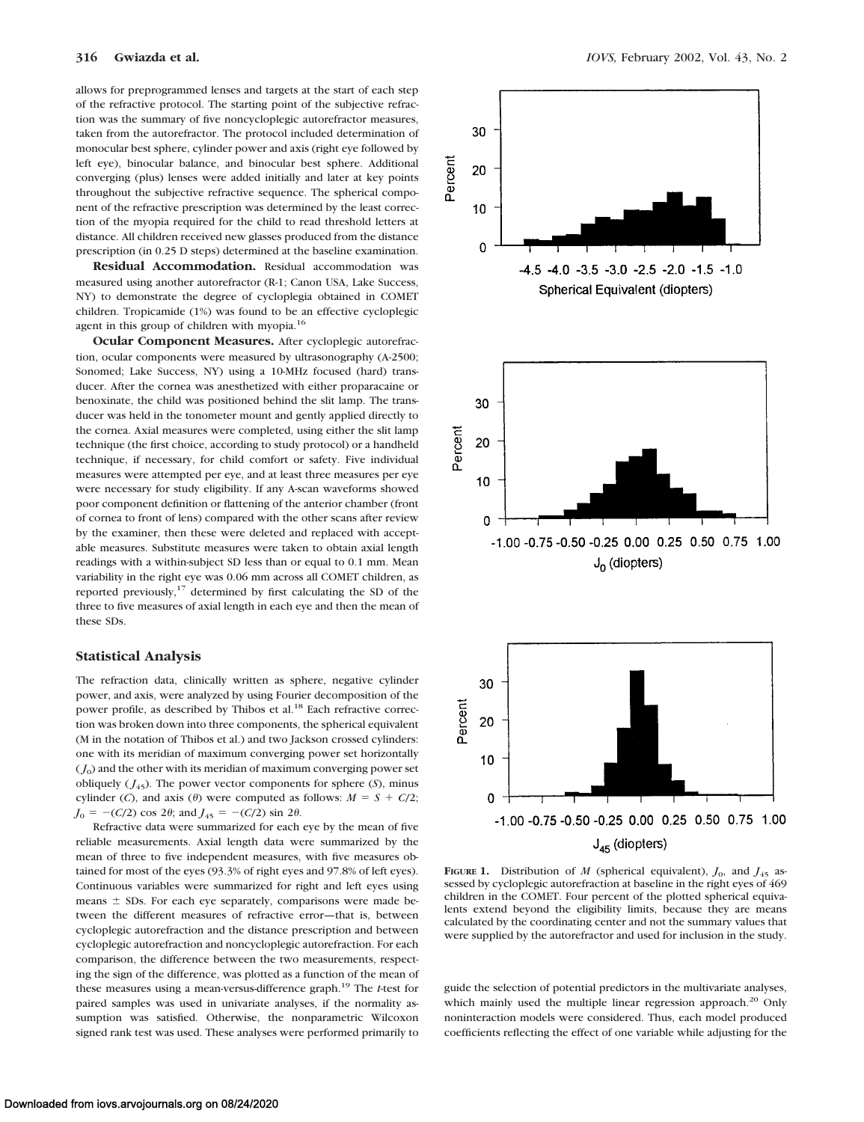allows for preprogrammed lenses and targets at the start of each step of the refractive protocol. The starting point of the subjective refraction was the summary of five noncycloplegic autorefractor measures, taken from the autorefractor. The protocol included determination of monocular best sphere, cylinder power and axis (right eye followed by left eye), binocular balance, and binocular best sphere. Additional converging (plus) lenses were added initially and later at key points throughout the subjective refractive sequence. The spherical component of the refractive prescription was determined by the least correction of the myopia required for the child to read threshold letters at distance. All children received new glasses produced from the distance prescription (in 0.25 D steps) determined at the baseline examination.

**Residual Accommodation.** Residual accommodation was measured using another autorefractor (R-1; Canon USA, Lake Success, NY) to demonstrate the degree of cycloplegia obtained in COMET children. Tropicamide (1%) was found to be an effective cycloplegic agent in this group of children with myopia.<sup>16</sup>

**Ocular Component Measures.** After cycloplegic autorefraction, ocular components were measured by ultrasonography (A-2500; Sonomed; Lake Success, NY) using a 10-MHz focused (hard) transducer. After the cornea was anesthetized with either proparacaine or benoxinate, the child was positioned behind the slit lamp. The transducer was held in the tonometer mount and gently applied directly to the cornea. Axial measures were completed, using either the slit lamp technique (the first choice, according to study protocol) or a handheld technique, if necessary, for child comfort or safety. Five individual measures were attempted per eye, and at least three measures per eye were necessary for study eligibility. If any A-scan waveforms showed poor component definition or flattening of the anterior chamber (front of cornea to front of lens) compared with the other scans after review by the examiner, then these were deleted and replaced with acceptable measures. Substitute measures were taken to obtain axial length readings with a within-subject SD less than or equal to 0.1 mm. Mean variability in the right eye was 0.06 mm across all COMET children, as reported previously,<sup>17</sup> determined by first calculating the SD of the three to five measures of axial length in each eye and then the mean of these SDs.

### **Statistical Analysis**

The refraction data, clinically written as sphere, negative cylinder power, and axis, were analyzed by using Fourier decomposition of the power profile, as described by Thibos et al.<sup>18</sup> Each refractive correction was broken down into three components, the spherical equivalent (M in the notation of Thibos et al.) and two Jackson crossed cylinders: one with its meridian of maximum converging power set horizontally  $(J<sub>0</sub>)$  and the other with its meridian of maximum converging power set obliquely  $(J_{45})$ . The power vector components for sphere  $(S)$ , minus cylinder (*C*), and axis ( $\theta$ ) were computed as follows:  $M = S + C/2$ ;  $J_0 = -(C/2) \cos 2\theta$ ; and  $J_{45} = -(C/2) \sin 2\theta$ .

Refractive data were summarized for each eye by the mean of five reliable measurements. Axial length data were summarized by the mean of three to five independent measures, with five measures obtained for most of the eyes (93.3% of right eyes and 97.8% of left eyes). Continuous variables were summarized for right and left eyes using  $means \pm SDs$ . For each eye separately, comparisons were made between the different measures of refractive error—that is, between cycloplegic autorefraction and the distance prescription and between cycloplegic autorefraction and noncycloplegic autorefraction. For each comparison, the difference between the two measurements, respecting the sign of the difference, was plotted as a function of the mean of these measures using a mean-versus-difference graph.19 The *t*-test for paired samples was used in univariate analyses, if the normality assumption was satisfied. Otherwise, the nonparametric Wilcoxon signed rank test was used. These analyses were performed primarily to



**FIGURE 1.** Distribution of *M* (spherical equivalent),  $J_0$ , and  $J_{45}$  assessed by cycloplegic autorefraction at baseline in the right eyes of 469 children in the COMET. Four percent of the plotted spherical equivalents extend beyond the eligibility limits, because they are means calculated by the coordinating center and not the summary values that were supplied by the autorefractor and used for inclusion in the study.

guide the selection of potential predictors in the multivariate analyses, which mainly used the multiple linear regression approach.<sup>20</sup> Only noninteraction models were considered. Thus, each model produced coefficients reflecting the effect of one variable while adjusting for the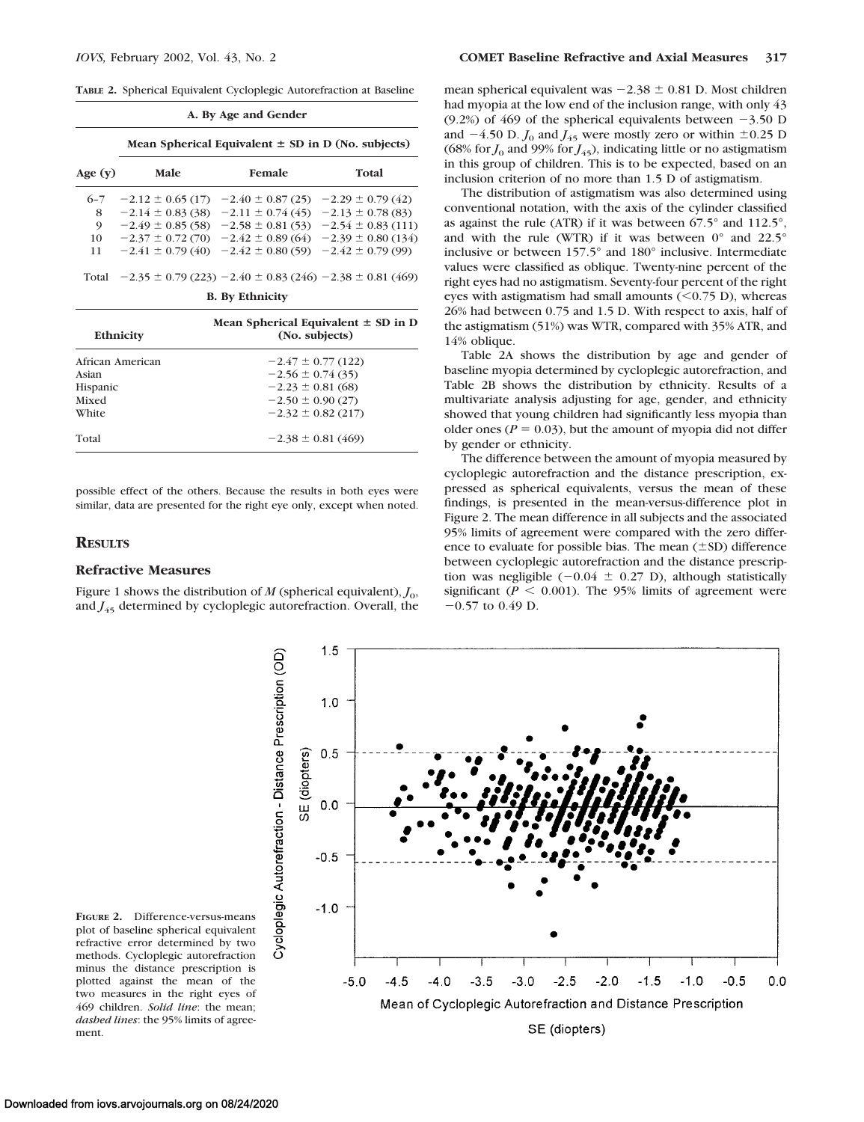**TABLE 2.** Spherical Equivalent Cycloplegic Autorefraction at Baseline

| A. By Age and Gender |                                                        |                                                                   |                                                                 |  |  |
|----------------------|--------------------------------------------------------|-------------------------------------------------------------------|-----------------------------------------------------------------|--|--|
| Age $(v)$<br>$6 - 7$ | Mean Spherical Equivalent $\pm$ SD in D (No. subjects) |                                                                   |                                                                 |  |  |
|                      | Male                                                   | Female                                                            | Total                                                           |  |  |
|                      |                                                        | $-2.12 \pm 0.65$ (17) $-2.40 \pm 0.87$ (25) $-2.29 \pm 0.79$ (42) |                                                                 |  |  |
| 8                    |                                                        | $-2.14 \pm 0.83(38)$ $-2.11 \pm 0.74(45)$ $-2.13 \pm 0.78(83)$    |                                                                 |  |  |
| 9                    |                                                        |                                                                   | $-2.49 \pm 0.85(58)$ $-2.58 \pm 0.81(53)$ $-2.54 \pm 0.83(111)$ |  |  |
| 10                   |                                                        |                                                                   | $-2.37 \pm 0.72(70)$ $-2.42 \pm 0.89(64)$ $-2.39 \pm 0.80(134)$ |  |  |
| 11                   |                                                        | $-2.41 \pm 0.79(40)$ $-2.42 \pm 0.80(59)$ $-2.42 \pm 0.79(99)$    |                                                                 |  |  |

Total  $-2.35 \pm 0.79$  (223)  $-2.40 \pm 0.83$  (246)  $-2.38 \pm 0.81$  (469)

|  |  | <b>B.</b> By Ethnicity |
|--|--|------------------------|
|--|--|------------------------|

| Ethnicity        | Mean Spherical Equivalent $\pm$ SD in D<br>(No. subjects) |  |  |  |
|------------------|-----------------------------------------------------------|--|--|--|
| African American | $-2.47 \pm 0.77$ (122)                                    |  |  |  |
| Asian            | $-2.56 \pm 0.74(35)$                                      |  |  |  |
| Hispanic         | $-2.23 \pm 0.81$ (68)                                     |  |  |  |
| Mixed            | $-2.50 \pm 0.90(27)$                                      |  |  |  |
| White            | $-2.32 \pm 0.82$ (217)                                    |  |  |  |
| Total            | $-2.38 \pm 0.81$ (469)                                    |  |  |  |
|                  |                                                           |  |  |  |

possible effect of the others. Because the results in both eyes were similar, data are presented for the right eye only, except when noted.

#### **RESULTS**

## **Refractive Measures**

Figure 1 shows the distribution of  $M$  (spherical equivalent),  $J_0$ , and  $J_{45}$  determined by cycloplegic autorefraction. Overall, the

mean spherical equivalent was  $-2.38 \pm 0.81$  D. Most children had myopia at the low end of the inclusion range, with only 43 (9.2%) of 469 of the spherical equivalents between  $-3.50$  D and  $-4.50$  D.  $J_0$  and  $J_{45}$  were mostly zero or within  $\pm 0.25$  D (68% for  $J_0$  and 99% for  $J_{45}$ ), indicating little or no astigmatism in this group of children. This is to be expected, based on an inclusion criterion of no more than 1.5 D of astigmatism.

The distribution of astigmatism was also determined using conventional notation, with the axis of the cylinder classified as against the rule (ATR) if it was between 67.5° and 112.5°, and with the rule (WTR) if it was between 0° and 22.5° inclusive or between 157.5° and 180° inclusive. Intermediate values were classified as oblique. Twenty-nine percent of the right eyes had no astigmatism. Seventy-four percent of the right eyes with astigmatism had small amounts  $(<0.75$  D), whereas 26% had between 0.75 and 1.5 D. With respect to axis, half of the astigmatism (51%) was WTR, compared with 35% ATR, and 14% oblique.

Table 2A shows the distribution by age and gender of baseline myopia determined by cycloplegic autorefraction, and Table 2B shows the distribution by ethnicity. Results of a multivariate analysis adjusting for age, gender, and ethnicity showed that young children had significantly less myopia than older ones ( $P = 0.03$ ), but the amount of myopia did not differ by gender or ethnicity.

The difference between the amount of myopia measured by cycloplegic autorefraction and the distance prescription, expressed as spherical equivalents, versus the mean of these findings, is presented in the mean-versus-difference plot in Figure 2. The mean difference in all subjects and the associated 95% limits of agreement were compared with the zero difference to evaluate for possible bias. The mean  $(\pm SD)$  difference between cycloplegic autorefraction and the distance prescription was negligible  $(-0.04 \pm 0.27 \text{ D})$ , although statistically significant ( $P < 0.001$ ). The 95% limits of agreement were  $-0.57$  to 0.49 D.



**FIGURE 2.** Difference-versus-means plot of baseline spherical equivalent refractive error determined by two methods. Cycloplegic autorefraction minus the distance prescription is plotted against the mean of the two measures in the right eyes of 469 children. *Solid line*: the mean; *dashed lines*: the 95% limits of agreement.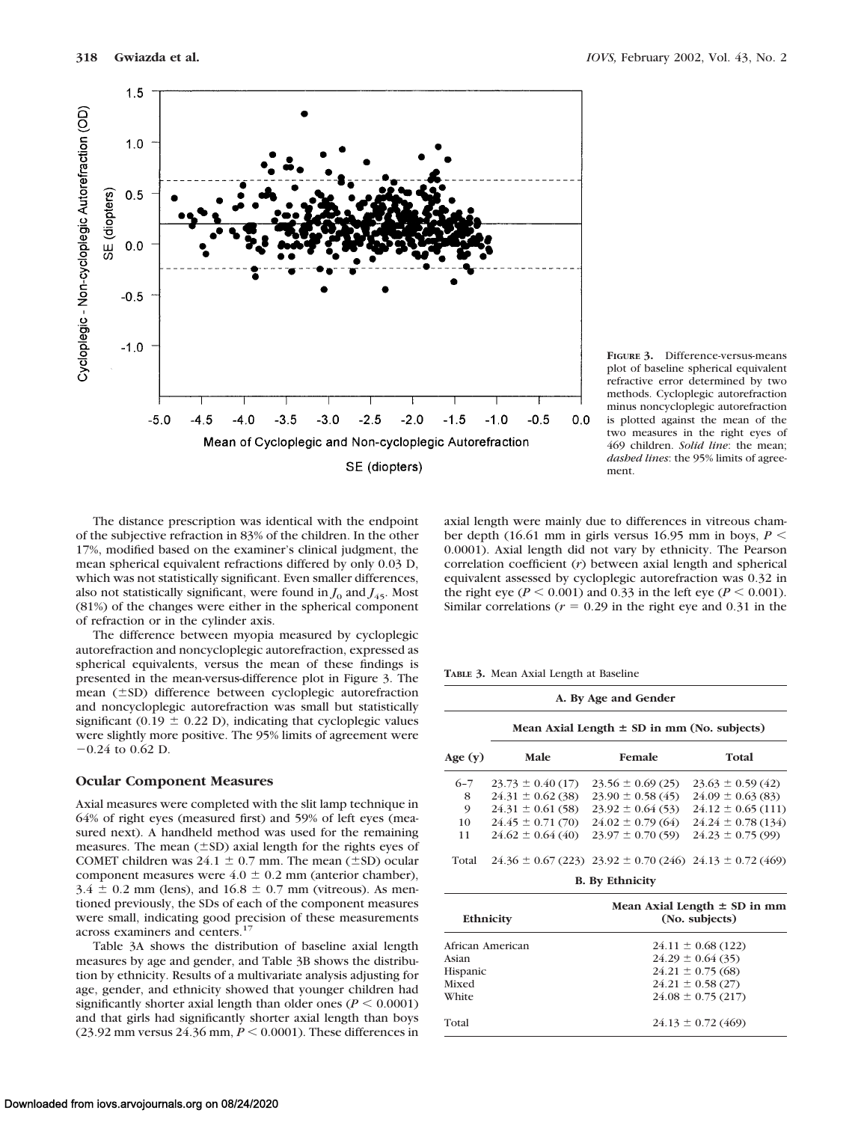

**FIGURE 3.** Difference-versus-means plot of baseline spherical equivalent refractive error determined by two methods. Cycloplegic autorefraction minus noncycloplegic autorefraction is plotted against the mean of the two measures in the right eyes of 469 children. *Solid line*: the mean; *dashed lines*: the 95% limits of agreement.

The distance prescription was identical with the endpoint of the subjective refraction in 83% of the children. In the other 17%, modified based on the examiner's clinical judgment, the mean spherical equivalent refractions differed by only 0.03 D, which was not statistically significant. Even smaller differences, also not statistically significant, were found in  $J_0$  and  $J_{45}$ . Most (81%) of the changes were either in the spherical component of refraction or in the cylinder axis.

The difference between myopia measured by cycloplegic autorefraction and noncycloplegic autorefraction, expressed as spherical equivalents, versus the mean of these findings is presented in the mean-versus-difference plot in Figure 3. The mean (±SD) difference between cycloplegic autorefraction and noncycloplegic autorefraction was small but statistically significant (0.19  $\pm$  0.22 D), indicating that cycloplegic values were slightly more positive. The 95% limits of agreement were  $-0.24$  to 0.62 D.

## **Ocular Component Measures**

Axial measures were completed with the slit lamp technique in 64% of right eyes (measured first) and 59% of left eyes (measured next). A handheld method was used for the remaining measures. The mean  $(\pm SD)$  axial length for the rights eyes of COMET children was  $24.1 \pm 0.7$  mm. The mean ( $\pm$ SD) ocular component measures were  $4.0 \pm 0.2$  mm (anterior chamber),  $3.4 \pm 0.2$  mm (lens), and  $16.8 \pm 0.7$  mm (vitreous). As mentioned previously, the SDs of each of the component measures were small, indicating good precision of these measurements across examiners and centers.17

Table 3A shows the distribution of baseline axial length measures by age and gender, and Table 3B shows the distribution by ethnicity. Results of a multivariate analysis adjusting for age, gender, and ethnicity showed that younger children had significantly shorter axial length than older ones  $(P \le 0.0001)$ and that girls had significantly shorter axial length than boys (23.92 mm versus 24.36 mm,  $P \le 0.0001$ ). These differences in

axial length were mainly due to differences in vitreous chamber depth (16.61 mm in girls versus 16.95 mm in boys, *P* 0.0001). Axial length did not vary by ethnicity. The Pearson correlation coefficient (*r*) between axial length and spherical equivalent assessed by cycloplegic autorefraction was 0.32 in the right eye ( $P < 0.001$ ) and 0.33 in the left eye ( $P < 0.001$ ). Similar correlations ( $r = 0.29$  in the right eye and 0.31 in the

**TABLE 3.** Mean Axial Length at Baseline

| A. By Age and Gender |                                                 |                                                                      |                        |  |
|----------------------|-------------------------------------------------|----------------------------------------------------------------------|------------------------|--|
|                      | Mean Axial Length $\pm$ SD in mm (No. subjects) |                                                                      |                        |  |
| Age $(y)$            | Male                                            | Female                                                               | Total                  |  |
| $6 - 7$              | $23.73 \pm 0.40$ (17)                           | $23.56 \pm 0.69(25)$                                                 | $23.63 \pm 0.59(42)$   |  |
| 8                    | $24.31 \pm 0.62$ (38)                           | $23.90 \pm 0.58(45)$                                                 | $24.09 \pm 0.63(83)$   |  |
| 9                    | $24.31 \pm 0.61(58)$                            | $23.92 \pm 0.64(53)$                                                 | $24.12 \pm 0.65$ (111) |  |
| 10                   | $24.45 \pm 0.71(70)$                            | $24.02 \pm 0.79(64)$                                                 | $24.24 \pm 0.78(134)$  |  |
| 11                   | $24.62 \pm 0.64(40)$                            | $23.97 \pm 0.70(59)$                                                 | $24.23 \pm 0.75(99)$   |  |
| Total                |                                                 | $24.36 \pm 0.67$ (223) $23.92 \pm 0.70$ (246) $24.13 \pm 0.72$ (469) |                        |  |
|                      |                                                 | <b>B.</b> By Ethnicity                                               |                        |  |

| <b>Ethnicity</b> | Mean Axial Length $\pm$ SD in mm<br>(No. subjects) |  |  |
|------------------|----------------------------------------------------|--|--|
| African American | $24.11 \pm 0.68$ (122)                             |  |  |
| Asian            | $24.29 \pm 0.64$ (35)                              |  |  |
| Hispanic         | $24.21 \pm 0.75(68)$                               |  |  |
| Mixed            | $24.21 \pm 0.58(27)$                               |  |  |
| White            | $24.08 \pm 0.75(217)$                              |  |  |
| Total            | $24.13 \pm 0.72$ (469)                             |  |  |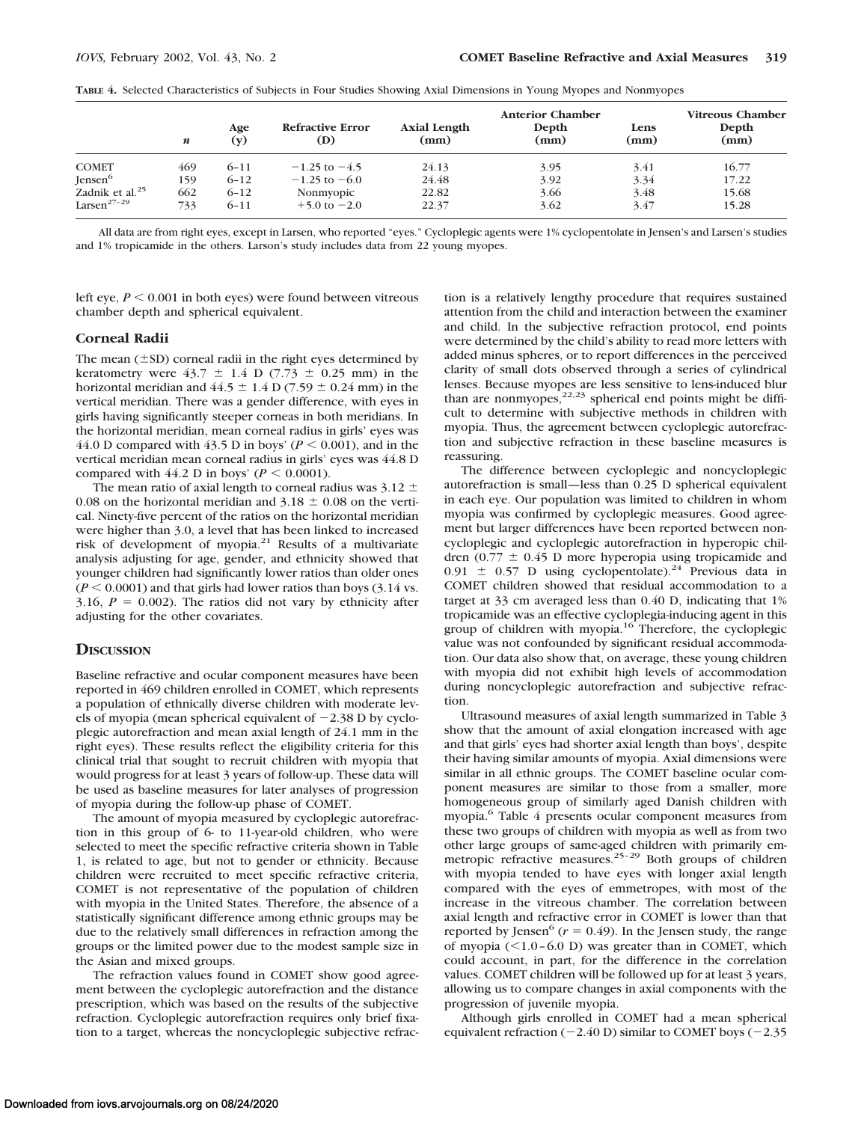|                             | n   | Age<br>(y) | <b>Refractive Error</b><br>(D) | <b>Axial Length</b><br>(mm) | <b>Anterior Chamber</b><br>Depth<br>(mm) | Lens<br>(mm) | Vitreous Chamber<br>Depth<br>(mm) |
|-----------------------------|-----|------------|--------------------------------|-----------------------------|------------------------------------------|--------------|-----------------------------------|
| <b>COMET</b>                | 469 | $6 - 11$   | $-1.25$ to $-4.5$              | 24.13                       | 3.95                                     | 3.41         | 16.77                             |
| Jensen <sup>6</sup>         | 159 | $6 - 12$   | $-1.25$ to $-6.0$              | 24.48                       | 3.92                                     | 3.34         | 17.22                             |
| Zadnik et al. <sup>25</sup> | 662 | $6 - 12$   | Nonmyopic                      | 22.82                       | 3.66                                     | 3.48         | 15.68                             |
| Larsen <sup>27-29</sup>     | 733 | $6 - 11$   | $+5.0 \text{ to } -2.0$        | 22.37                       | 3.62                                     | 3.47         | 15.28                             |

**TABLE 4.** Selected Characteristics of Subjects in Four Studies Showing Axial Dimensions in Young Myopes and Nonmyopes

All data are from right eyes, except in Larsen, who reported "eyes." Cycloplegic agents were 1% cyclopentolate in Jensen's and Larsen's studies and 1% tropicamide in the others. Larson's study includes data from 22 young myopes.

left eye,  $P \le 0.001$  in both eyes) were found between vitreous chamber depth and spherical equivalent.

## **Corneal Radii**

The mean  $(\pm SD)$  corneal radii in the right eyes determined by keratometry were  $43.7 \pm 1.4$  D (7.73  $\pm$  0.25 mm) in the horizontal meridian and  $44.5 \pm 1.4$  D (7.59  $\pm$  0.24 mm) in the vertical meridian. There was a gender difference, with eyes in girls having significantly steeper corneas in both meridians. In the horizontal meridian, mean corneal radius in girls' eyes was 44.0 D compared with 43.5 D in boys'  $(P \le 0.001)$ , and in the vertical meridian mean corneal radius in girls' eyes was 44.8 D compared with 44.2 D in boys' ( $P \le 0.0001$ ).

The mean ratio of axial length to corneal radius was 3.12  $\pm$ 0.08 on the horizontal meridian and  $3.18 \pm 0.08$  on the vertical. Ninety-five percent of the ratios on the horizontal meridian were higher than 3.0, a level that has been linked to increased risk of development of myopia.<sup>21</sup> Results of a multivariate analysis adjusting for age, gender, and ethnicity showed that younger children had significantly lower ratios than older ones  $(P \le 0.0001)$  and that girls had lower ratios than boys  $(3.14 \text{ vs.})$ 3.16,  $P = 0.002$ ). The ratios did not vary by ethnicity after adjusting for the other covariates.

## **DISCUSSION**

Baseline refractive and ocular component measures have been reported in 469 children enrolled in COMET, which represents a population of ethnically diverse children with moderate levels of myopia (mean spherical equivalent of  $-2.38$  D by cycloplegic autorefraction and mean axial length of 24.1 mm in the right eyes). These results reflect the eligibility criteria for this clinical trial that sought to recruit children with myopia that would progress for at least 3 years of follow-up. These data will be used as baseline measures for later analyses of progression of myopia during the follow-up phase of COMET.

The amount of myopia measured by cycloplegic autorefraction in this group of 6- to 11-year-old children, who were selected to meet the specific refractive criteria shown in Table 1, is related to age, but not to gender or ethnicity. Because children were recruited to meet specific refractive criteria, COMET is not representative of the population of children with myopia in the United States. Therefore, the absence of a statistically significant difference among ethnic groups may be due to the relatively small differences in refraction among the groups or the limited power due to the modest sample size in the Asian and mixed groups.

The refraction values found in COMET show good agreement between the cycloplegic autorefraction and the distance prescription, which was based on the results of the subjective refraction. Cycloplegic autorefraction requires only brief fixation to a target, whereas the noncycloplegic subjective refraction is a relatively lengthy procedure that requires sustained attention from the child and interaction between the examiner and child. In the subjective refraction protocol, end points were determined by the child's ability to read more letters with added minus spheres, or to report differences in the perceived clarity of small dots observed through a series of cylindrical lenses. Because myopes are less sensitive to lens-induced blur than are nonmyopes, $2^{2,23}$  spherical end points might be difficult to determine with subjective methods in children with myopia. Thus, the agreement between cycloplegic autorefraction and subjective refraction in these baseline measures is reassuring.

The difference between cycloplegic and noncycloplegic autorefraction is small—less than 0.25 D spherical equivalent in each eye. Our population was limited to children in whom myopia was confirmed by cycloplegic measures. Good agreement but larger differences have been reported between noncycloplegic and cycloplegic autorefraction in hyperopic children  $(0.77 \pm 0.45)$  D more hyperopia using tropicamide and  $0.91 \pm 0.57$  D using cyclopentolate).<sup>24</sup> Previous data in COMET children showed that residual accommodation to a target at 33 cm averaged less than 0.40 D, indicating that 1% tropicamide was an effective cycloplegia-inducing agent in this group of children with myopia.16 Therefore, the cycloplegic value was not confounded by significant residual accommodation. Our data also show that, on average, these young children with myopia did not exhibit high levels of accommodation during noncycloplegic autorefraction and subjective refraction.

Ultrasound measures of axial length summarized in Table 3 show that the amount of axial elongation increased with age and that girls' eyes had shorter axial length than boys', despite their having similar amounts of myopia. Axial dimensions were similar in all ethnic groups. The COMET baseline ocular component measures are similar to those from a smaller, more homogeneous group of similarly aged Danish children with myopia.6 Table 4 presents ocular component measures from these two groups of children with myopia as well as from two other large groups of same-aged children with primarily emmetropic refractive measures.<sup>25-29</sup> Both groups of children with myopia tended to have eyes with longer axial length compared with the eyes of emmetropes, with most of the increase in the vitreous chamber. The correlation between axial length and refractive error in COMET is lower than that reported by Jensen<sup>6</sup> ( $r = 0.49$ ). In the Jensen study, the range of myopia  $(\leq 1.0 - 6.0 \text{ D})$  was greater than in COMET, which could account, in part, for the difference in the correlation values. COMET children will be followed up for at least 3 years, allowing us to compare changes in axial components with the progression of juvenile myopia.

Although girls enrolled in COMET had a mean spherical equivalent refraction ( $-2.40$  D) similar to COMET boys ( $-2.35$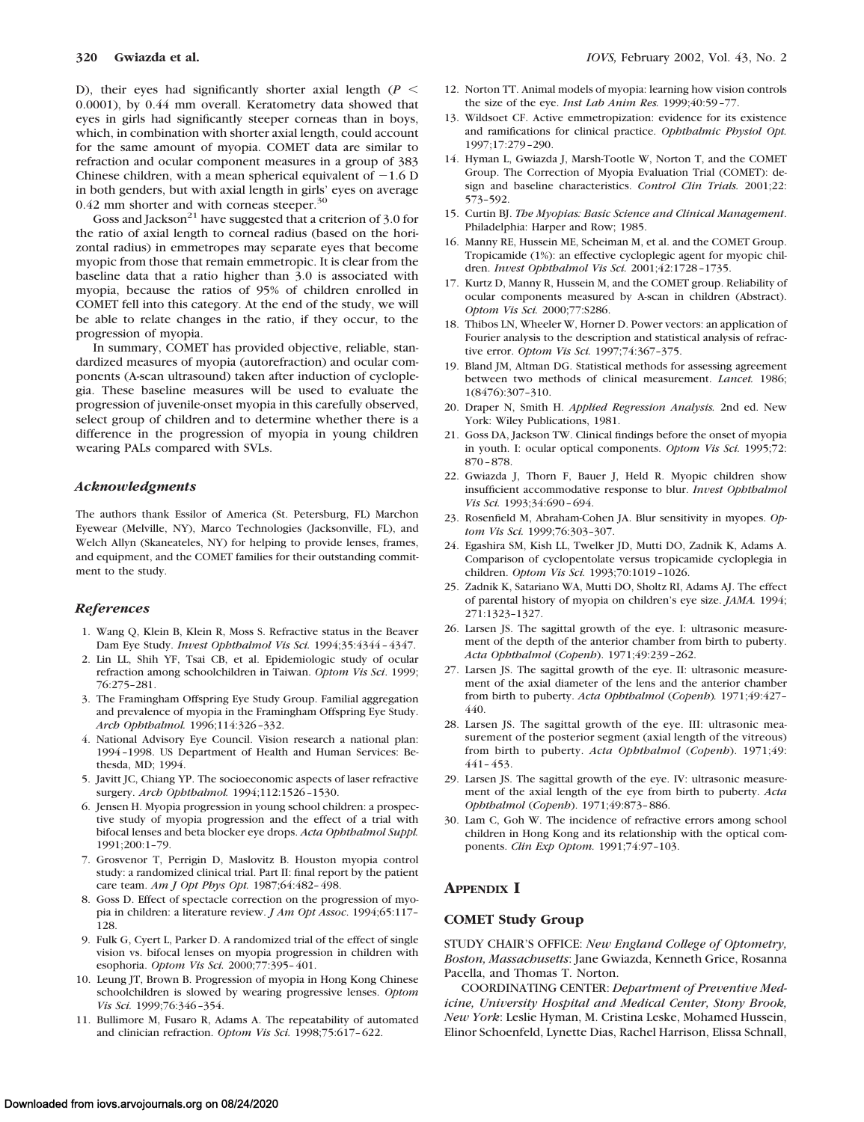D), their eyes had significantly shorter axial length  $(P \leq$ 0.0001), by 0.44 mm overall. Keratometry data showed that eyes in girls had significantly steeper corneas than in boys, which, in combination with shorter axial length, could account for the same amount of myopia. COMET data are similar to refraction and ocular component measures in a group of 383 Chinese children, with a mean spherical equivalent of  $-1.6$  D in both genders, but with axial length in girls' eyes on average 0.42 mm shorter and with corneas steeper.<sup>30</sup>

Goss and Jackson<sup>21</sup> have suggested that a criterion of 3.0 for the ratio of axial length to corneal radius (based on the horizontal radius) in emmetropes may separate eyes that become myopic from those that remain emmetropic. It is clear from the baseline data that a ratio higher than 3.0 is associated with myopia, because the ratios of 95% of children enrolled in COMET fell into this category. At the end of the study, we will be able to relate changes in the ratio, if they occur, to the progression of myopia.

In summary, COMET has provided objective, reliable, standardized measures of myopia (autorefraction) and ocular components (A-scan ultrasound) taken after induction of cycloplegia. These baseline measures will be used to evaluate the progression of juvenile-onset myopia in this carefully observed, select group of children and to determine whether there is a difference in the progression of myopia in young children wearing PALs compared with SVLs.

#### *Acknowledgments*

The authors thank Essilor of America (St. Petersburg, FL) Marchon Eyewear (Melville, NY), Marco Technologies (Jacksonville, FL), and Welch Allyn (Skaneateles, NY) for helping to provide lenses, frames, and equipment, and the COMET families for their outstanding commitment to the study.

#### *References*

- 1. Wang Q, Klein B, Klein R, Moss S. Refractive status in the Beaver Dam Eye Study. *Invest Ophthalmol Vis Sci.* 1994;35:4344–4347.
- 2. Lin LL, Shih YF, Tsai CB, et al. Epidemiologic study of ocular refraction among schoolchildren in Taiwan. *Optom Vis Sci*. 1999; 76:275–281.
- 3. The Framingham Offspring Eye Study Group. Familial aggregation and prevalence of myopia in the Framingham Offspring Eye Study. *Arch Ophthalmol.* 1996;114:326–332.
- 4. National Advisory Eye Council. Vision research a national plan: 1994–1998. US Department of Health and Human Services: Bethesda, MD; 1994.
- 5. Javitt JC, Chiang YP. The socioeconomic aspects of laser refractive surgery. *Arch Ophthalmol.* 1994;112:1526–1530.
- 6. Jensen H. Myopia progression in young school children: a prospective study of myopia progression and the effect of a trial with bifocal lenses and beta blocker eye drops. *Acta Ophthalmol Suppl.* 1991;200:1–79.
- 7. Grosvenor T, Perrigin D, Maslovitz B. Houston myopia control study: a randomized clinical trial. Part II: final report by the patient care team. *Am J Opt Phys Opt.* 1987;64:482–498.
- 8. Goss D. Effect of spectacle correction on the progression of myopia in children: a literature review. *J Am Opt Assoc*. 1994;65:117– 128.
- 9. Fulk G, Cyert L, Parker D. A randomized trial of the effect of single vision vs. bifocal lenses on myopia progression in children with esophoria. *Optom Vis Sci.* 2000;77:395–401.
- 10. Leung JT, Brown B. Progression of myopia in Hong Kong Chinese schoolchildren is slowed by wearing progressive lenses. *Optom Vis Sci.* 1999;76:346–354.
- 11. Bullimore M, Fusaro R, Adams A. The repeatability of automated and clinician refraction. *Optom Vis Sci.* 1998;75:617–622.
- 12. Norton TT. Animal models of myopia: learning how vision controls the size of the eye. *Inst Lab Anim Res*. 1999;40:59-77
- 13. Wildsoet CF. Active emmetropization: evidence for its existence and ramifications for clinical practice. *Ophthalmic Physiol Opt.* 1997;17:279–290.
- 14. Hyman L, Gwiazda J, Marsh-Tootle W, Norton T, and the COMET Group. The Correction of Myopia Evaluation Trial (COMET): design and baseline characteristics. *Control Clin Trials.* 2001;22: 573–592.
- 15. Curtin BJ. *The Myopias: Basic Science and Clinical Management*. Philadelphia: Harper and Row; 1985.
- 16. Manny RE, Hussein ME, Scheiman M, et al. and the COMET Group. Tropicamide (1%): an effective cycloplegic agent for myopic children. *Invest Ophthalmol Vis Sci.* 2001;42:1728–1735.
- 17. Kurtz D, Manny R, Hussein M, and the COMET group. Reliability of ocular components measured by A-scan in children (Abstract). *Optom Vis Sci.* 2000;77:S286.
- 18. Thibos LN, Wheeler W, Horner D. Power vectors: an application of Fourier analysis to the description and statistical analysis of refractive error. *Optom Vis Sci.* 1997;74:367–375.
- 19. Bland JM, Altman DG. Statistical methods for assessing agreement between two methods of clinical measurement. *Lancet.* 1986; 1(8476):307–310.
- 20. Draper N, Smith H. *Applied Regression Analysis.* 2nd ed. New York: Wiley Publications, 1981.
- 21. Goss DA, Jackson TW. Clinical findings before the onset of myopia in youth. I: ocular optical components. *Optom Vis Sci.* 1995;72: 870–878.
- 22. Gwiazda J, Thorn F, Bauer J, Held R. Myopic children show insufficient accommodative response to blur. *Invest Ophthalmol Vis Sci.* 1993;34:690–694.
- 23. Rosenfield M, Abraham-Cohen JA. Blur sensitivity in myopes. *Optom Vis Sci.* 1999;76:303–307.
- 24. Egashira SM, Kish LL, Twelker JD, Mutti DO, Zadnik K, Adams A. Comparison of cyclopentolate versus tropicamide cycloplegia in children. *Optom Vis Sci.* 1993;70:1019–1026.
- 25. Zadnik K, Satariano WA, Mutti DO, Sholtz RI, Adams AJ. The effect of parental history of myopia on children's eye size. *JAMA.* 1994; 271:1323–1327.
- 26. Larsen JS. The sagittal growth of the eye. I: ultrasonic measurement of the depth of the anterior chamber from birth to puberty. *Acta Ophthalmol* (*Copenh*). 1971;49:239–262.
- 27. Larsen JS. The sagittal growth of the eye. II: ultrasonic measurement of the axial diameter of the lens and the anterior chamber from birth to puberty. *Acta Ophthalmol* (*Copenh*)*.* 1971;49:427– 440.
- 28. Larsen JS. The sagittal growth of the eye. III: ultrasonic measurement of the posterior segment (axial length of the vitreous) from birth to puberty. *Acta Ophthalmol* (*Copenh*). 1971;49:  $441 - 453$ .
- 29. Larsen JS. The sagittal growth of the eye. IV: ultrasonic measurement of the axial length of the eye from birth to puberty. *Acta Ophthalmol* (*Copenh*). 1971;49:873–886.
- 30. Lam C, Goh W. The incidence of refractive errors among school children in Hong Kong and its relationship with the optical components. *Clin Exp Optom.* 1991;74:97–103.

## **APPENDIX I**

## **COMET Study Group**

STUDY CHAIR'S OFFICE: *New England College of Optometry, Boston, Massachusetts*: Jane Gwiazda, Kenneth Grice, Rosanna Pacella, and Thomas T. Norton.

COORDINATING CENTER: *Department of Preventive Medicine, University Hospital and Medical Center, Stony Brook, New York*: Leslie Hyman, M. Cristina Leske, Mohamed Hussein, Elinor Schoenfeld, Lynette Dias, Rachel Harrison, Elissa Schnall,